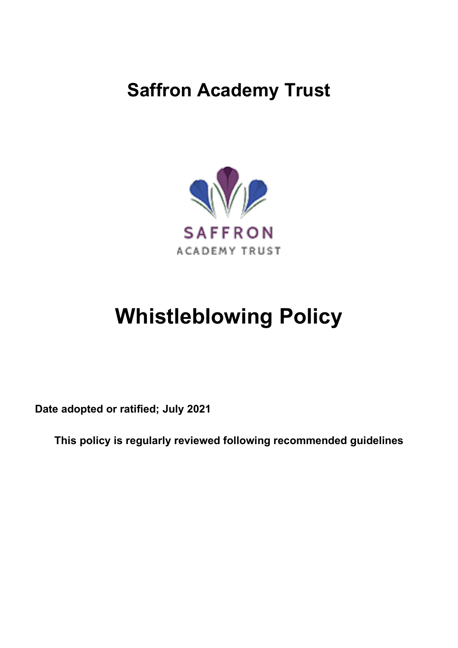## **Saffron Academy Trust**



# **Whistleblowing Policy**

**Date adopted or ratified; July 2021**

**This policy is regularly reviewed following recommended guidelines**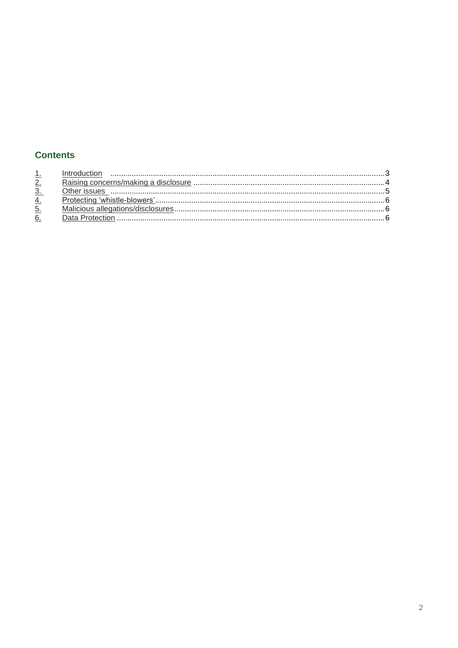### **Contents**

| 1. |
|----|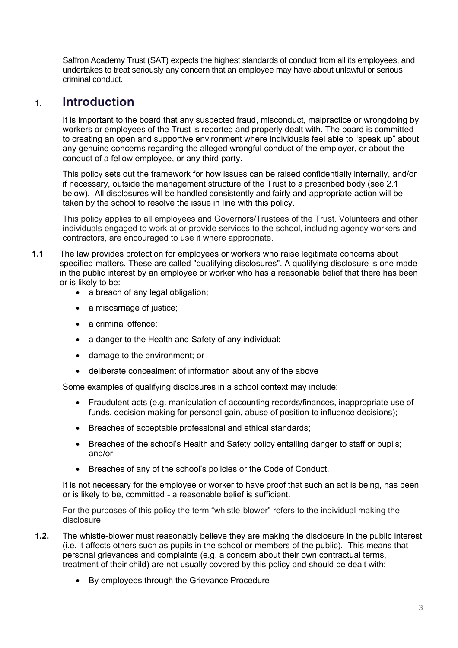<span id="page-2-0"></span>Saffron Academy Trust (SAT) expects the highest standards of conduct from all its employees, and undertakes to treat seriously any concern that an employee may have about unlawful or serious criminal conduct.

## **1. Introduction**

It is important to the board that any suspected fraud, misconduct, malpractice or wrongdoing by workers or employees of the Trust is reported and properly dealt with. The board is committed to creating an open and supportive environment where individuals feel able to "speak up" about any genuine concerns regarding the alleged wrongful conduct of the employer, or about the conduct of a fellow employee, or any third party.

This policy sets out the framework for how issues can be raised confidentially internally, and/or if necessary, outside the management structure of the Trust to a prescribed body (see 2.1 below). All disclosures will be handled consistently and fairly and appropriate action will be taken by the school to resolve the issue in line with this policy.

This policy applies to all employees and Governors/Trustees of the Trust. Volunteers and other individuals engaged to work at or provide services to the school, including agency workers and contractors, are encouraged to use it where appropriate.

- **1.1** The law provides protection for employees or workers who raise legitimate concerns about specified matters. These are called "qualifying disclosures". A qualifying disclosure is one made in the public interest by an employee or worker who has a reasonable belief that there has been or is likely to be:
	- a breach of any legal obligation;
	- a miscarriage of justice;
	- a criminal offence;
	- a danger to the Health and Safety of any individual;
	- damage to the environment; or
	- deliberate concealment of information about any of the above

Some examples of qualifying disclosures in a school context may include:

- Fraudulent acts (e.g. manipulation of accounting records/finances, inappropriate use of funds, decision making for personal gain, abuse of position to influence decisions);
- Breaches of acceptable professional and ethical standards;
- Breaches of the school's Health and Safety policy entailing danger to staff or pupils; and/or
- Breaches of any of the school's policies or the Code of Conduct.

It is not necessary for the employee or worker to have proof that such an act is being, has been, or is likely to be, committed - a reasonable belief is sufficient.

For the purposes of this policy the term "whistle-blower" refers to the individual making the disclosure.

- **1.2.** The whistle-blower must reasonably believe they are making the disclosure in the public interest (i.e. it affects others such as pupils in the school or members of the public). This means that personal grievances and complaints (e.g. a concern about their own contractual terms, treatment of their child) are not usually covered by this policy and should be dealt with:
	- By employees through the Grievance Procedure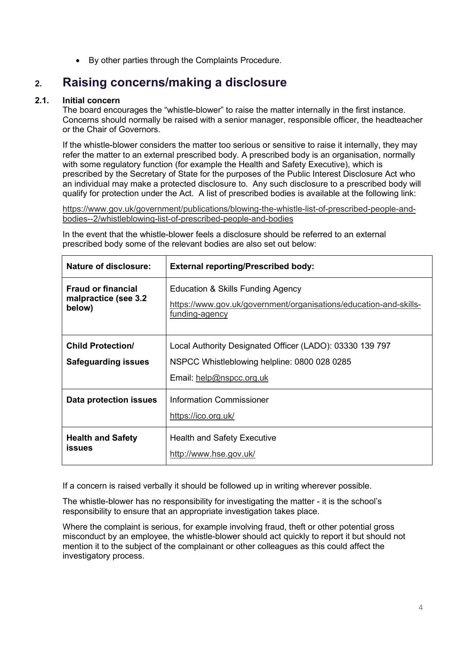• By other parties through the Complaints Procedure.

## <span id="page-3-0"></span>**2. Raising concerns/making a disclosure**

#### **2.1. Initial concern**

The board encourages the "whistle-blower" to raise the matter internally in the first instance. Concerns should normally be raised with a senior manager, responsible officer, the headteacher or the Chair of Governors.

If the whistle-blower considers the matter too serious or sensitive to raise it internally, they may refer the matter to an external prescribed body. A prescribed body is an organisation, normally with some regulatory function (for example the Health and Safety Executive), which is prescribed by the Secretary of State for the purposes of the Public Interest Disclosure Act who an individual may make a protected disclosure to. Any such disclosure to a prescribed body will qualify for protection under the Act. A list of prescribed bodies is available at the following link:

[https://www.gov.uk/government/publications/blowing-the-whistle-list-of-prescribed-people-and](https://www.gov.uk/government/publications/blowing-the-whistle-list-of-prescribed-people-and-bodies--2/whistleblowing-list-of-prescribed-people-and-bodies)[bodies--2/whistleblowing-list-of-prescribed-people-and-bodies](https://www.gov.uk/government/publications/blowing-the-whistle-list-of-prescribed-people-and-bodies--2/whistleblowing-list-of-prescribed-people-and-bodies)

| <b>Nature of disclosure:</b>                                | <b>External reporting/Prescribed body:</b>                                                                                           |
|-------------------------------------------------------------|--------------------------------------------------------------------------------------------------------------------------------------|
| <b>Fraud or financial</b><br>malpractice (see 3.2<br>below) | Education & Skills Funding Agency<br>https://www.gov.uk/government/organisations/education-and-skills-<br>funding-agency             |
| <b>Child Protection/</b><br><b>Safeguarding issues</b>      | Local Authority Designated Officer (LADO): 03330 139 797<br>NSPCC Whistleblowing helpline: 0800 028 0285<br>Email: help@nspcc.org.uk |
| Data protection issues                                      | <b>Information Commissioner</b><br>https://ico.org.uk/                                                                               |
| <b>Health and Safety</b><br><b>issues</b>                   | <b>Health and Safety Executive</b><br>http://www.hse.gov.uk/                                                                         |

In the event that the whistle-blower feels a disclosure should be referred to an external prescribed body some of the relevant bodies are also set out below:

If a concern is raised verbally it should be followed up in writing wherever possible.

The whistle-blower has no responsibility for investigating the matter - it is the school's responsibility to ensure that an appropriate investigation takes place.

Where the complaint is serious, for example involving fraud, theft or other potential gross misconduct by an employee, the whistle-blower should act quickly to report it but should not mention it to the subject of the complainant or other colleagues as this could affect the investigatory process.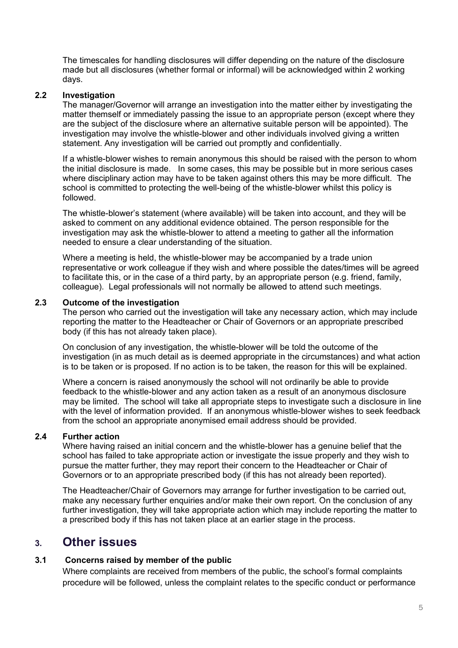The timescales for handling disclosures will differ depending on the nature of the disclosure made but all disclosures (whether formal or informal) will be acknowledged within 2 working days.

#### **2.2 Investigation**

The manager/Governor will arrange an investigation into the matter either by investigating the matter themself or immediately passing the issue to an appropriate person (except where they are the subject of the disclosure where an alternative suitable person will be appointed). The investigation may involve the whistle-blower and other individuals involved giving a written statement. Any investigation will be carried out promptly and confidentially.

If a whistle-blower wishes to remain anonymous this should be raised with the person to whom the initial disclosure is made. In some cases, this may be possible but in more serious cases where disciplinary action may have to be taken against others this may be more difficult. The school is committed to protecting the well-being of the whistle-blower whilst this policy is followed.

The whistle-blower's statement (where available) will be taken into account, and they will be asked to comment on any additional evidence obtained. The person responsible for the investigation may ask the whistle-blower to attend a meeting to gather all the information needed to ensure a clear understanding of the situation.

Where a meeting is held, the whistle-blower may be accompanied by a trade union representative or work colleague if they wish and where possible the dates/times will be agreed to facilitate this, or in the case of a third party, by an appropriate person (e.g. friend, family, colleague). Legal professionals will not normally be allowed to attend such meetings.

#### **2.3 Outcome of the investigation**

The person who carried out the investigation will take any necessary action, which may include reporting the matter to the Headteacher or Chair of Governors or an appropriate prescribed body (if this has not already taken place).

On conclusion of any investigation, the whistle-blower will be told the outcome of the investigation (in as much detail as is deemed appropriate in the circumstances) and what action is to be taken or is proposed. If no action is to be taken, the reason for this will be explained.

Where a concern is raised anonymously the school will not ordinarily be able to provide feedback to the whistle-blower and any action taken as a result of an anonymous disclosure may be limited. The school will take all appropriate steps to investigate such a disclosure in line with the level of information provided. If an anonymous whistle-blower wishes to seek feedback from the school an appropriate anonymised email address should be provided.

#### **2.4 Further action**

Where having raised an initial concern and the whistle-blower has a genuine belief that the school has failed to take appropriate action or investigate the issue properly and they wish to pursue the matter further, they may report their concern to the Headteacher or Chair of Governors or to an appropriate prescribed body (if this has not already been reported).

The Headteacher/Chair of Governors may arrange for further investigation to be carried out, make any necessary further enquiries and/or make their own report. On the conclusion of any further investigation, they will take appropriate action which may include reporting the matter to a prescribed body if this has not taken place at an earlier stage in the process.

## <span id="page-4-0"></span>**3. Other issues**

#### **3.1 Concerns raised by member of the public**

Where complaints are received from members of the public, the school's formal complaints procedure will be followed, unless the complaint relates to the specific conduct or performance